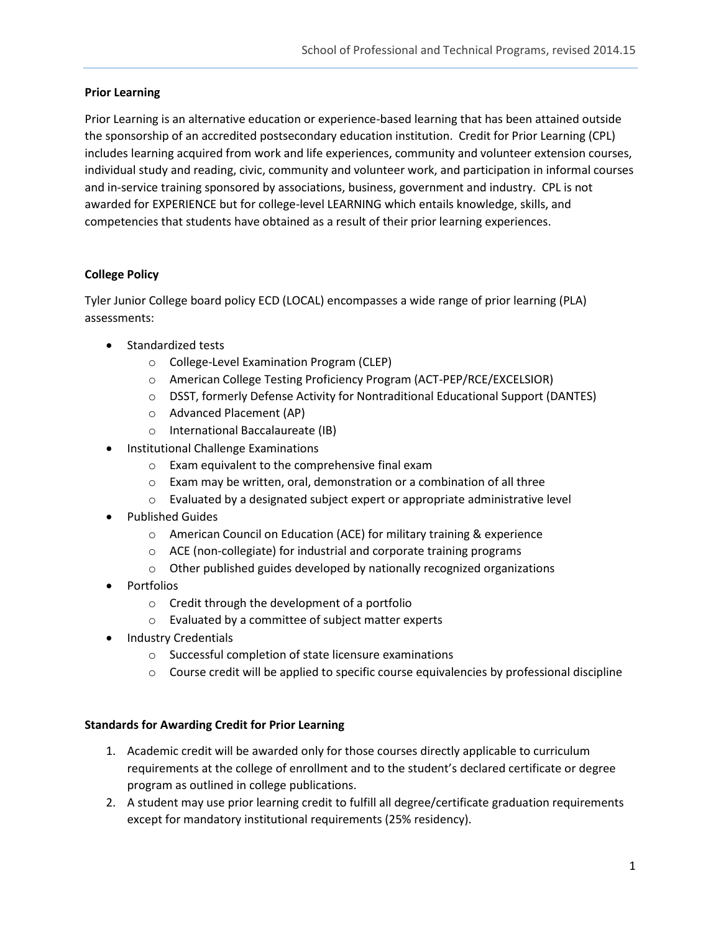## **Prior Learning**

Prior Learning is an alternative education or experience-based learning that has been attained outside the sponsorship of an accredited postsecondary education institution. Credit for Prior Learning (CPL) includes learning acquired from work and life experiences, community and volunteer extension courses, individual study and reading, civic, community and volunteer work, and participation in informal courses and in-service training sponsored by associations, business, government and industry. CPL is not awarded for EXPERIENCE but for college-level LEARNING which entails knowledge, skills, and competencies that students have obtained as a result of their prior learning experiences.

# **College Policy**

Tyler Junior College board policy ECD (LOCAL) encompasses a wide range of prior learning (PLA) assessments:

- Standardized tests
	- o College-Level Examination Program (CLEP)
	- o American College Testing Proficiency Program (ACT-PEP/RCE/EXCELSIOR)
	- $\circ$  DSST, formerly Defense Activity for Nontraditional Educational Support (DANTES)
	- o Advanced Placement (AP)
	- o International Baccalaureate (IB)
- Institutional Challenge Examinations
	- o Exam equivalent to the comprehensive final exam
	- o Exam may be written, oral, demonstration or a combination of all three
	- $\circ$  Evaluated by a designated subject expert or appropriate administrative level
- **•** Published Guides
	- o American Council on Education (ACE) for military training & experience
	- o ACE (non-collegiate) for industrial and corporate training programs
	- o Other published guides developed by nationally recognized organizations
- Portfolios
	- o Credit through the development of a portfolio
	- o Evaluated by a committee of subject matter experts
- Industry Credentials
	- o Successful completion of state licensure examinations
	- $\circ$  Course credit will be applied to specific course equivalencies by professional discipline

# **Standards for Awarding Credit for Prior Learning**

- 1. Academic credit will be awarded only for those courses directly applicable to curriculum requirements at the college of enrollment and to the student's declared certificate or degree program as outlined in college publications.
- 2. A student may use prior learning credit to fulfill all degree/certificate graduation requirements except for mandatory institutional requirements (25% residency).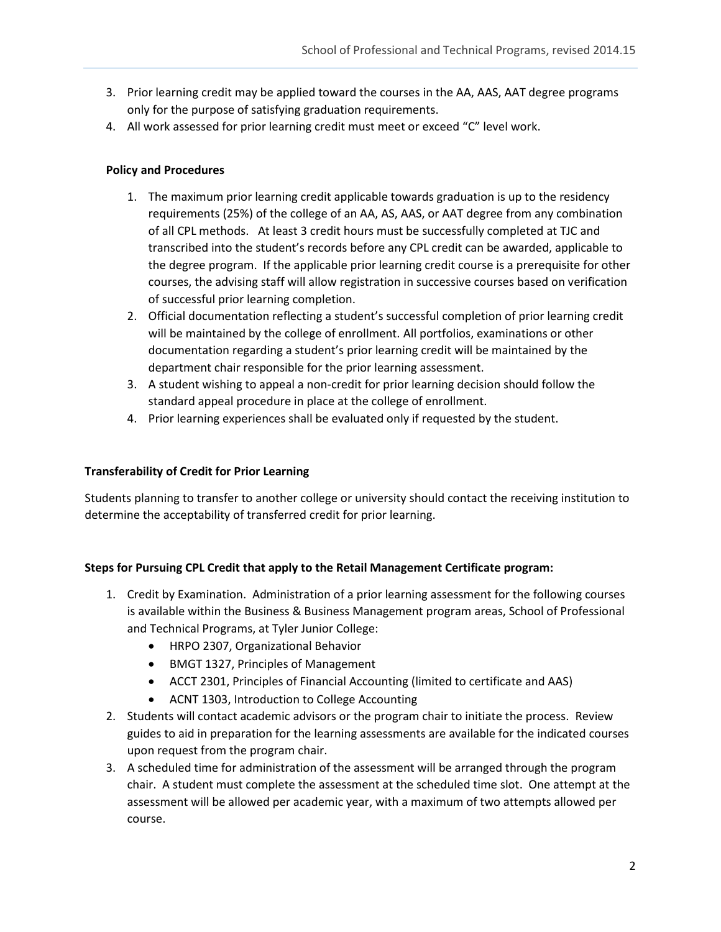- 3. Prior learning credit may be applied toward the courses in the AA, AAS, AAT degree programs only for the purpose of satisfying graduation requirements.
- 4. All work assessed for prior learning credit must meet or exceed "C" level work.

# **Policy and Procedures**

- 1. The maximum prior learning credit applicable towards graduation is up to the residency requirements (25%) of the college of an AA, AS, AAS, or AAT degree from any combination of all CPL methods. At least 3 credit hours must be successfully completed at TJC and transcribed into the student's records before any CPL credit can be awarded, applicable to the degree program. If the applicable prior learning credit course is a prerequisite for other courses, the advising staff will allow registration in successive courses based on verification of successful prior learning completion.
- 2. Official documentation reflecting a student's successful completion of prior learning credit will be maintained by the college of enrollment. All portfolios, examinations or other documentation regarding a student's prior learning credit will be maintained by the department chair responsible for the prior learning assessment.
- 3. A student wishing to appeal a non-credit for prior learning decision should follow the standard appeal procedure in place at the college of enrollment.
- 4. Prior learning experiences shall be evaluated only if requested by the student.

# **Transferability of Credit for Prior Learning**

Students planning to transfer to another college or university should contact the receiving institution to determine the acceptability of transferred credit for prior learning.

# **Steps for Pursuing CPL Credit that apply to the Retail Management Certificate program:**

- 1. Credit by Examination. Administration of a prior learning assessment for the following courses is available within the Business & Business Management program areas, School of Professional and Technical Programs, at Tyler Junior College:
	- HRPO 2307, Organizational Behavior
	- BMGT 1327, Principles of Management
	- ACCT 2301, Principles of Financial Accounting (limited to certificate and AAS)
	- ACNT 1303, Introduction to College Accounting
- 2. Students will contact academic advisors or the program chair to initiate the process. Review guides to aid in preparation for the learning assessments are available for the indicated courses upon request from the program chair.
- 3. A scheduled time for administration of the assessment will be arranged through the program chair. A student must complete the assessment at the scheduled time slot. One attempt at the assessment will be allowed per academic year, with a maximum of two attempts allowed per course.